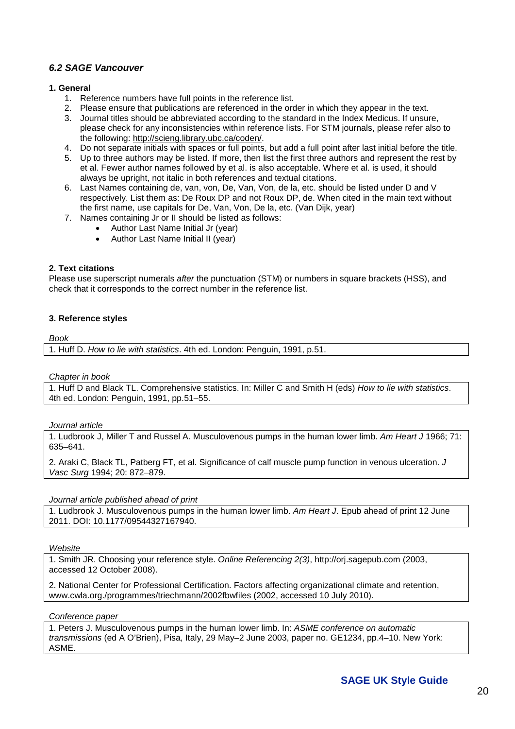# *6.2 SAGE Vancouver*

## **1. General**

- 1. Reference numbers have full points in the reference list.
- 2. Please ensure that publications are referenced in the order in which they appear in the text.
- 3. Journal titles should be abbreviated according to the standard in the Index Medicus. If unsure, please check for any inconsistencies within reference lists. For STM journals, please refer also to the following: [http://scieng.library.ubc.ca/coden/.](http://scieng.library.ubc.ca/coden/)
- 4. Do not separate initials with spaces or full points, but add a full point after last initial before the title.
- 5. Up to three authors may be listed. If more, then list the first three authors and represent the rest by et al. Fewer author names followed by et al. is also acceptable. Where et al. is used, it should always be upright, not italic in both references and textual citations.
- 6. Last Names containing de, van, von, De, Van, Von, de la, etc. should be listed under D and V respectively. List them as: De Roux DP and not Roux DP, de. When cited in the main text without the first name, use capitals for De, Van, Von, De la, etc. (Van Dijk, year)
- 7. Names containing Jr or II should be listed as follows:
	- Author Last Name Initial Jr (year)
	- Author Last Name Initial II (year)

# **2. Text citations**

Please use superscript numerals *after* the punctuation (STM) or numbers in square brackets (HSS), and check that it corresponds to the correct number in the reference list.

## **3. Reference styles**

*Book*

1. Huff D. *How to lie with statistics*. 4th ed. London: Penguin, 1991, p.51.

## *Chapter in book*

1. Huff D and Black TL. Comprehensive statistics. In: Miller C and Smith H (eds) *How to lie with statistics*. 4th ed. London: Penguin, 1991, pp.51–55.

## *Journal article*

1. Ludbrook J, Miller T and Russel A. Musculovenous pumps in the human lower limb. *Am Heart J* 1966; 71: 635–641.

2. Araki C, Black TL, Patberg FT, et al. Significance of calf muscle pump function in venous ulceration. *J Vasc Surg* 1994; 20: 872–879.

## *Journal article published ahead of print*

1. Ludbrook J. Musculovenous pumps in the human lower limb. *Am Heart J*. Epub ahead of print 12 June 2011. DOI: 10.1177/09544327167940.

## *Website*

1. Smith JR. Choosing your reference style. *Online Referencing 2(3)*, [http://orj.sagepub.com](http://orj.sagepub.com/) (2003, accessed 12 October 2008).

2. National Center for Professional Certification. Factors affecting organizational climate and retention, www.cwla.org./programmes/triechmann/2002fbwfiles (2002, accessed 10 July 2010).

## *Conference paper*

1. Peters J. Musculovenous pumps in the human lower limb. In: *ASME conference on automatic transmissions* (ed A O'Brien), Pisa, Italy, 29 May–2 June 2003, paper no. GE1234, pp.4–10. New York: ASME.